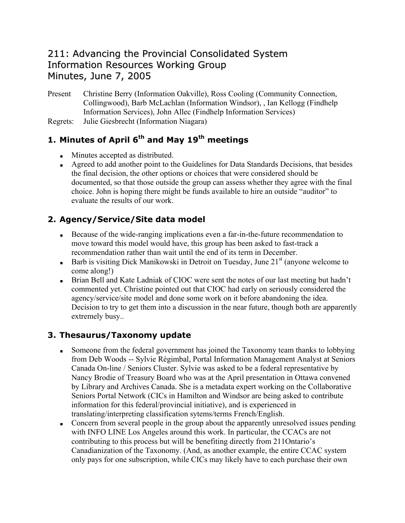## 211: Advancing the Provincial Consolidated System Information Resources Working Group Minutes, June 7, 2005

Present Christine Berry (Information Oakville), Ross Cooling (Community Connection, Collingwood), Barb McLachlan (Information Windsor), , Ian Kellogg (Findhelp Information Services), John Allec (Findhelp Information Services)

Regrets: Julie Giesbrecht (Information Niagara)

## **1. Minutes of April 6th and May 19th meetings**

- **Minutes accepted as distributed.**
- Agreed to add another point to the Guidelines for Data Standards Decisions, that besides the final decision, the other options or choices that were considered should be documented, so that those outside the group can assess whether they agree with the final choice. John is hoping there might be funds available to hire an outside "auditor" to evaluate the results of our work.

## **2. Agency/Service/Site data model**

- Because of the wide-ranging implications even a far-in-the-future recommendation to move toward this model would have, this group has been asked to fast-track a recommendation rather than wait until the end of its term in December.
- Barb is visiting Dick Manikowski in Detroit on Tuesday, June  $21<sup>st</sup>$  (anyone welcome to come along!)
- Brian Bell and Kate Ladniak of CIOC were sent the notes of our last meeting but hadn't commented yet. Christine pointed out that CIOC had early on seriously considered the agency/service/site model and done some work on it before abandoning the idea. Decision to try to get them into a discussion in the near future, though both are apparently extremely busy..

#### **3. Thesaurus/Taxonomy update**

- Someone from the federal government has joined the Taxonomy team thanks to lobbying from Deb Woods -- Sylvie Régimbal, Portal Information Management Analyst at Seniors Canada On-line / Seniors Cluster. Sylvie was asked to be a federal representative by Nancy Brodie of Treasury Board who was at the April presentation in Ottawa convened by Library and Archives Canada. She is a metadata expert working on the Collaborative Seniors Portal Network (CICs in Hamilton and Windsor are being asked to contribute information for this federal/provincial initiative), and is experienced in translating/interpreting classification sytems/terms French/English.
- Concern from several people in the group about the apparently unresolved issues pending with INFO LINE Los Angeles around this work. In particular, the CCACs are not contributing to this process but will be benefiting directly from 211Ontario's Canadianization of the Taxonomy. (And, as another example, the entire CCAC system only pays for one subscription, while CICs may likely have to each purchase their own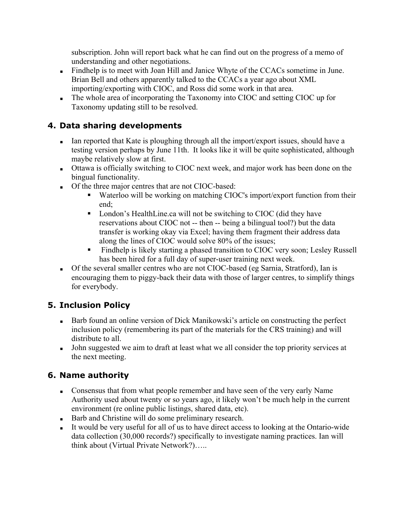subscription. John will report back what he can find out on the progress of a memo of understanding and other negotiations.

- Findhelp is to meet with Joan Hill and Janice Whyte of the CCACs sometime in June. Brian Bell and others apparently talked to the CCACs a year ago about XML importing/exporting with CIOC, and Ross did some work in that area.
- The whole area of incorporating the Taxonomy into CIOC and setting CIOC up for Taxonomy updating still to be resolved.

#### **4. Data sharing developments**

- Ian reported that Kate is ploughing through all the import/export issues, should have a testing version perhaps by June 11th. It looks like it will be quite sophisticated, although maybe relatively slow at first.
- Ottawa is officially switching to CIOC next week, and major work has been done on the bingual functionality.
- Of the three major centres that are not CIOC-based:
	- Waterloo will be working on matching CIOC's import/export function from their end;
	- London's HealthLine.ca will not be switching to CIOC (did they have reservations about CIOC not -- then -- being a bilingual tool?) but the data transfer is working okay via Excel; having them fragment their address data along the lines of CIOC would solve 80% of the issues;
	- Findhelp is likely starting a phased transition to CIOC very soon; Lesley Russell has been hired for a full day of super-user training next week.
- Of the several smaller centres who are not CIOC-based (eg Sarnia, Stratford), Ian is encouraging them to piggy-back their data with those of larger centres, to simplify things for everybody.

#### **5. Inclusion Policy**

- Barb found an online version of Dick Manikowski's article on constructing the perfect inclusion policy (remembering its part of the materials for the CRS training) and will distribute to all.
- Iohn suggested we aim to draft at least what we all consider the top priority services at the next meeting.

#### **6. Name authority**

- Consensus that from what people remember and have seen of the very early Name Authority used about twenty or so years ago, it likely won't be much help in the current environment (re online public listings, shared data, etc).
- Barb and Christine will do some preliminary research.
- It would be very useful for all of us to have direct access to looking at the Ontario-wide data collection (30,000 records?) specifically to investigate naming practices. Ian will think about (Virtual Private Network?)…..